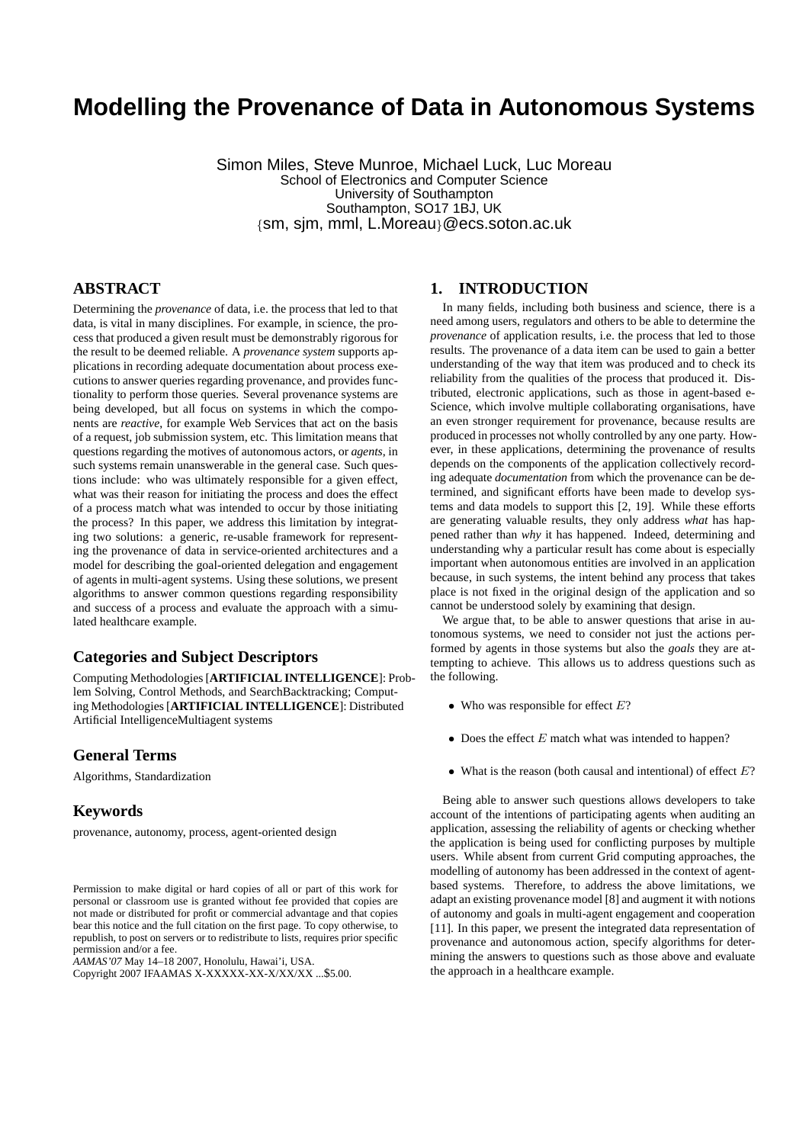# **Modelling the Provenance of Data in Autonomous Systems**

Simon Miles, Steve Munroe, Michael Luck, Luc Moreau School of Electronics and Computer Science University of Southampton Southampton, SO17 1BJ, UK {sm, sjm, mml, L.Moreau}@ecs.soton.ac.uk

# **ABSTRACT**

Determining the *provenance* of data, i.e. the process that led to that data, is vital in many disciplines. For example, in science, the process that produced a given result must be demonstrably rigorous for the result to be deemed reliable. A *provenance system* supports applications in recording adequate documentation about process executions to answer queries regarding provenance, and provides functionality to perform those queries. Several provenance systems are being developed, but all focus on systems in which the components are *reactive*, for example Web Services that act on the basis of a request, job submission system, etc. This limitation means that questions regarding the motives of autonomous actors, or *agents*, in such systems remain unanswerable in the general case. Such questions include: who was ultimately responsible for a given effect, what was their reason for initiating the process and does the effect of a process match what was intended to occur by those initiating the process? In this paper, we address this limitation by integrating two solutions: a generic, re-usable framework for representing the provenance of data in service-oriented architectures and a model for describing the goal-oriented delegation and engagement of agents in multi-agent systems. Using these solutions, we present algorithms to answer common questions regarding responsibility and success of a process and evaluate the approach with a simulated healthcare example.

## **Categories and Subject Descriptors**

Computing Methodologies [**ARTIFICIAL INTELLIGENCE**]: Problem Solving, Control Methods, and SearchBacktracking; Computing Methodologies [**ARTIFICIAL INTELLIGENCE**]: Distributed Artificial IntelligenceMultiagent systems

# **General Terms**

Algorithms, Standardization

## **Keywords**

provenance, autonomy, process, agent-oriented design

*AAMAS'07* May 14–18 2007, Honolulu, Hawai'i, USA.

## **1. INTRODUCTION**

In many fields, including both business and science, there is a need among users, regulators and others to be able to determine the *provenance* of application results, i.e. the process that led to those results. The provenance of a data item can be used to gain a better understanding of the way that item was produced and to check its reliability from the qualities of the process that produced it. Distributed, electronic applications, such as those in agent-based e-Science, which involve multiple collaborating organisations, have an even stronger requirement for provenance, because results are produced in processes not wholly controlled by any one party. However, in these applications, determining the provenance of results depends on the components of the application collectively recording adequate *documentation* from which the provenance can be determined, and significant efforts have been made to develop systems and data models to support this [2, 19]. While these efforts are generating valuable results, they only address *what* has happened rather than *why* it has happened. Indeed, determining and understanding why a particular result has come about is especially important when autonomous entities are involved in an application because, in such systems, the intent behind any process that takes place is not fixed in the original design of the application and so cannot be understood solely by examining that design.

We argue that, to be able to answer questions that arise in autonomous systems, we need to consider not just the actions performed by agents in those systems but also the *goals* they are attempting to achieve. This allows us to address questions such as the following.

- Who was responsible for effect  $E$ ?
- Does the effect  $E$  match what was intended to happen?
- What is the reason (both causal and intentional) of effect  $E$ ?

Being able to answer such questions allows developers to take account of the intentions of participating agents when auditing an application, assessing the reliability of agents or checking whether the application is being used for conflicting purposes by multiple users. While absent from current Grid computing approaches, the modelling of autonomy has been addressed in the context of agentbased systems. Therefore, to address the above limitations, we adapt an existing provenance model [8] and augment it with notions of autonomy and goals in multi-agent engagement and cooperation [11]. In this paper, we present the integrated data representation of provenance and autonomous action, specify algorithms for determining the answers to questions such as those above and evaluate the approach in a healthcare example.

Permission to make digital or hard copies of all or part of this work for personal or classroom use is granted without fee provided that copies are not made or distributed for profit or commercial advantage and that copies bear this notice and the full citation on the first page. To copy otherwise, to republish, to post on servers or to redistribute to lists, requires prior specific permission and/or a fee.

Copyright 2007 IFAAMAS X-XXXXX-XX-X/XX/XX ...\$5.00.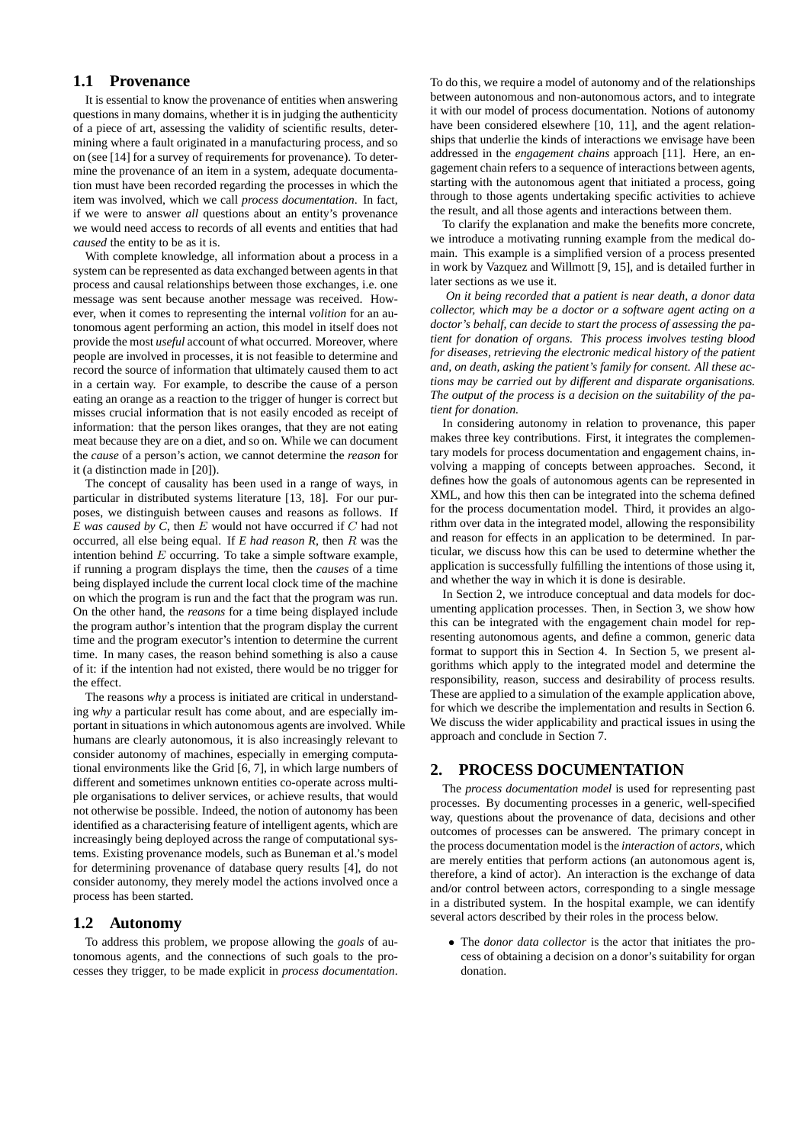# **1.1 Provenance**

It is essential to know the provenance of entities when answering questions in many domains, whether it is in judging the authenticity of a piece of art, assessing the validity of scientific results, determining where a fault originated in a manufacturing process, and so on (see [14] for a survey of requirements for provenance). To determine the provenance of an item in a system, adequate documentation must have been recorded regarding the processes in which the item was involved, which we call *process documentation*. In fact, if we were to answer *all* questions about an entity's provenance we would need access to records of all events and entities that had *caused* the entity to be as it is.

With complete knowledge, all information about a process in a system can be represented as data exchanged between agents in that process and causal relationships between those exchanges, i.e. one message was sent because another message was received. However, when it comes to representing the internal *volition* for an autonomous agent performing an action, this model in itself does not provide the most *useful* account of what occurred. Moreover, where people are involved in processes, it is not feasible to determine and record the source of information that ultimately caused them to act in a certain way. For example, to describe the cause of a person eating an orange as a reaction to the trigger of hunger is correct but misses crucial information that is not easily encoded as receipt of information: that the person likes oranges, that they are not eating meat because they are on a diet, and so on. While we can document the *cause* of a person's action, we cannot determine the *reason* for it (a distinction made in [20]).

The concept of causality has been used in a range of ways, in particular in distributed systems literature [13, 18]. For our purposes, we distinguish between causes and reasons as follows. If *E was caused by C*, then E would not have occurred if C had not occurred, all else being equal. If *E had reason R*, then R was the intention behind  $E$  occurring. To take a simple software example, if running a program displays the time, then the *causes* of a time being displayed include the current local clock time of the machine on which the program is run and the fact that the program was run. On the other hand, the *reasons* for a time being displayed include the program author's intention that the program display the current time and the program executor's intention to determine the current time. In many cases, the reason behind something is also a cause of it: if the intention had not existed, there would be no trigger for the effect.

The reasons *why* a process is initiated are critical in understanding *why* a particular result has come about, and are especially important in situations in which autonomous agents are involved. While humans are clearly autonomous, it is also increasingly relevant to consider autonomy of machines, especially in emerging computational environments like the Grid [6, 7], in which large numbers of different and sometimes unknown entities co-operate across multiple organisations to deliver services, or achieve results, that would not otherwise be possible. Indeed, the notion of autonomy has been identified as a characterising feature of intelligent agents, which are increasingly being deployed across the range of computational systems. Existing provenance models, such as Buneman et al.'s model for determining provenance of database query results [4], do not consider autonomy, they merely model the actions involved once a process has been started.

## **1.2 Autonomy**

To address this problem, we propose allowing the *goals* of autonomous agents, and the connections of such goals to the processes they trigger, to be made explicit in *process documentation*. To do this, we require a model of autonomy and of the relationships between autonomous and non-autonomous actors, and to integrate it with our model of process documentation. Notions of autonomy have been considered elsewhere [10, 11], and the agent relationships that underlie the kinds of interactions we envisage have been addressed in the *engagement chains* approach [11]. Here, an engagement chain refers to a sequence of interactions between agents, starting with the autonomous agent that initiated a process, going through to those agents undertaking specific activities to achieve the result, and all those agents and interactions between them.

To clarify the explanation and make the benefits more concrete, we introduce a motivating running example from the medical domain. This example is a simplified version of a process presented in work by Vazquez and Willmott [9, 15], and is detailed further in later sections as we use it.

*On it being recorded that a patient is near death, a donor data collector, which may be a doctor or a software agent acting on a doctor's behalf, can decide to start the process of assessing the patient for donation of organs. This process involves testing blood for diseases, retrieving the electronic medical history of the patient and, on death, asking the patient's family for consent. All these actions may be carried out by different and disparate organisations. The output of the process is a decision on the suitability of the patient for donation.*

In considering autonomy in relation to provenance, this paper makes three key contributions. First, it integrates the complementary models for process documentation and engagement chains, involving a mapping of concepts between approaches. Second, it defines how the goals of autonomous agents can be represented in XML, and how this then can be integrated into the schema defined for the process documentation model. Third, it provides an algorithm over data in the integrated model, allowing the responsibility and reason for effects in an application to be determined. In particular, we discuss how this can be used to determine whether the application is successfully fulfilling the intentions of those using it, and whether the way in which it is done is desirable.

In Section 2, we introduce conceptual and data models for documenting application processes. Then, in Section 3, we show how this can be integrated with the engagement chain model for representing autonomous agents, and define a common, generic data format to support this in Section 4. In Section 5, we present algorithms which apply to the integrated model and determine the responsibility, reason, success and desirability of process results. These are applied to a simulation of the example application above, for which we describe the implementation and results in Section 6. We discuss the wider applicability and practical issues in using the approach and conclude in Section 7.

## **2. PROCESS DOCUMENTATION**

The *process documentation model* is used for representing past processes. By documenting processes in a generic, well-specified way, questions about the provenance of data, decisions and other outcomes of processes can be answered. The primary concept in the process documentation model is the *interaction* of *actors*, which are merely entities that perform actions (an autonomous agent is, therefore, a kind of actor). An interaction is the exchange of data and/or control between actors, corresponding to a single message in a distributed system. In the hospital example, we can identify several actors described by their roles in the process below.

• The *donor data collector* is the actor that initiates the process of obtaining a decision on a donor's suitability for organ donation.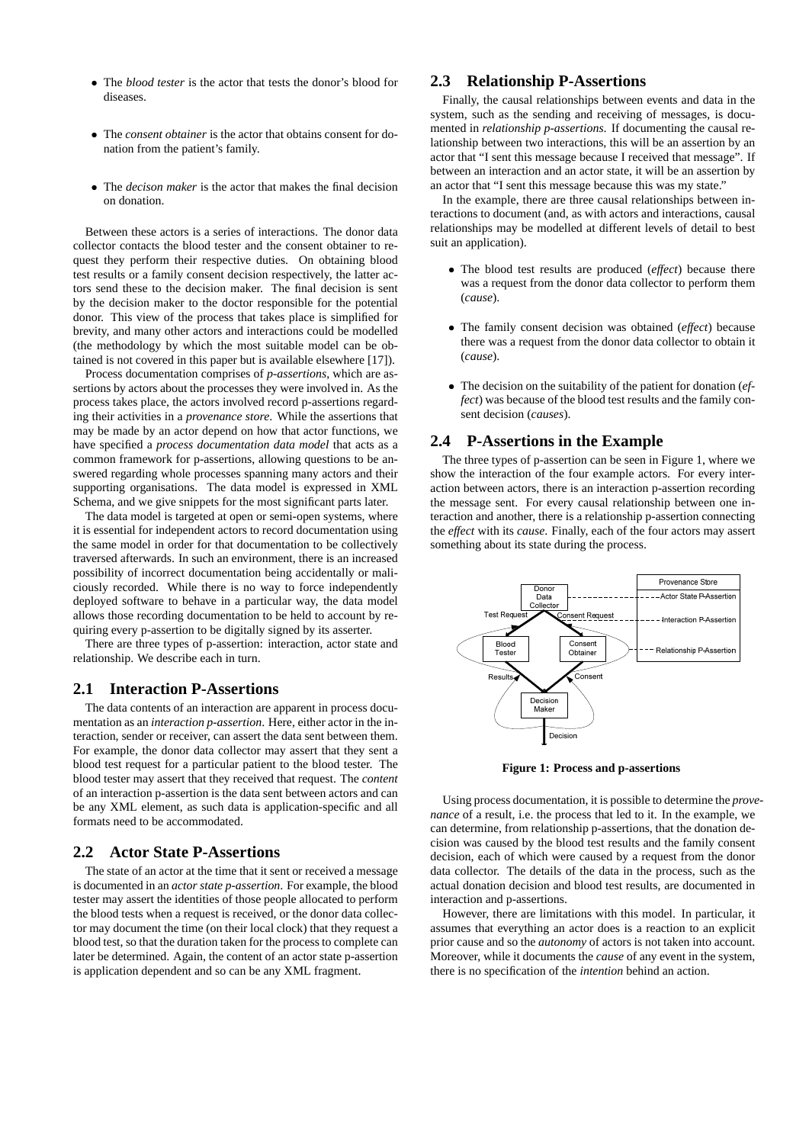- The *blood tester* is the actor that tests the donor's blood for diseases.
- The *consent obtainer* is the actor that obtains consent for donation from the patient's family.
- The *decison maker* is the actor that makes the final decision on donation.

Between these actors is a series of interactions. The donor data collector contacts the blood tester and the consent obtainer to request they perform their respective duties. On obtaining blood test results or a family consent decision respectively, the latter actors send these to the decision maker. The final decision is sent by the decision maker to the doctor responsible for the potential donor. This view of the process that takes place is simplified for brevity, and many other actors and interactions could be modelled (the methodology by which the most suitable model can be obtained is not covered in this paper but is available elsewhere [17]).

Process documentation comprises of *p-assertions*, which are assertions by actors about the processes they were involved in. As the process takes place, the actors involved record p-assertions regarding their activities in a *provenance store*. While the assertions that may be made by an actor depend on how that actor functions, we have specified a *process documentation data model* that acts as a common framework for p-assertions, allowing questions to be answered regarding whole processes spanning many actors and their supporting organisations. The data model is expressed in XML Schema, and we give snippets for the most significant parts later.

The data model is targeted at open or semi-open systems, where it is essential for independent actors to record documentation using the same model in order for that documentation to be collectively traversed afterwards. In such an environment, there is an increased possibility of incorrect documentation being accidentally or maliciously recorded. While there is no way to force independently deployed software to behave in a particular way, the data model allows those recording documentation to be held to account by requiring every p-assertion to be digitally signed by its asserter.

There are three types of p-assertion: interaction, actor state and relationship. We describe each in turn.

## **2.1 Interaction P-Assertions**

The data contents of an interaction are apparent in process documentation as an *interaction p-assertion*. Here, either actor in the interaction, sender or receiver, can assert the data sent between them. For example, the donor data collector may assert that they sent a blood test request for a particular patient to the blood tester. The blood tester may assert that they received that request. The *content* of an interaction p-assertion is the data sent between actors and can be any XML element, as such data is application-specific and all formats need to be accommodated.

## **2.2 Actor State P-Assertions**

The state of an actor at the time that it sent or received a message is documented in an *actor state p-assertion*. For example, the blood tester may assert the identities of those people allocated to perform the blood tests when a request is received, or the donor data collector may document the time (on their local clock) that they request a blood test, so that the duration taken for the process to complete can later be determined. Again, the content of an actor state p-assertion is application dependent and so can be any XML fragment.

# **2.3 Relationship P-Assertions**

Finally, the causal relationships between events and data in the system, such as the sending and receiving of messages, is documented in *relationship p-assertions*. If documenting the causal relationship between two interactions, this will be an assertion by an actor that "I sent this message because I received that message". If between an interaction and an actor state, it will be an assertion by an actor that "I sent this message because this was my state."

In the example, there are three causal relationships between interactions to document (and, as with actors and interactions, causal relationships may be modelled at different levels of detail to best suit an application).

- The blood test results are produced (*effect*) because there was a request from the donor data collector to perform them (*cause*).
- The family consent decision was obtained (*effect*) because there was a request from the donor data collector to obtain it (*cause*).
- The decision on the suitability of the patient for donation (*effect*) was because of the blood test results and the family consent decision (*causes*).

## **2.4 P-Assertions in the Example**

The three types of p-assertion can be seen in Figure 1, where we show the interaction of the four example actors. For every interaction between actors, there is an interaction p-assertion recording the message sent. For every causal relationship between one interaction and another, there is a relationship p-assertion connecting the *effect* with its *cause*. Finally, each of the four actors may assert something about its state during the process.



**Figure 1: Process and p-assertions**

Using process documentation, it is possible to determine the *provenance* of a result, i.e. the process that led to it. In the example, we can determine, from relationship p-assertions, that the donation decision was caused by the blood test results and the family consent decision, each of which were caused by a request from the donor data collector. The details of the data in the process, such as the actual donation decision and blood test results, are documented in interaction and p-assertions.

However, there are limitations with this model. In particular, it assumes that everything an actor does is a reaction to an explicit prior cause and so the *autonomy* of actors is not taken into account. Moreover, while it documents the *cause* of any event in the system, there is no specification of the *intention* behind an action.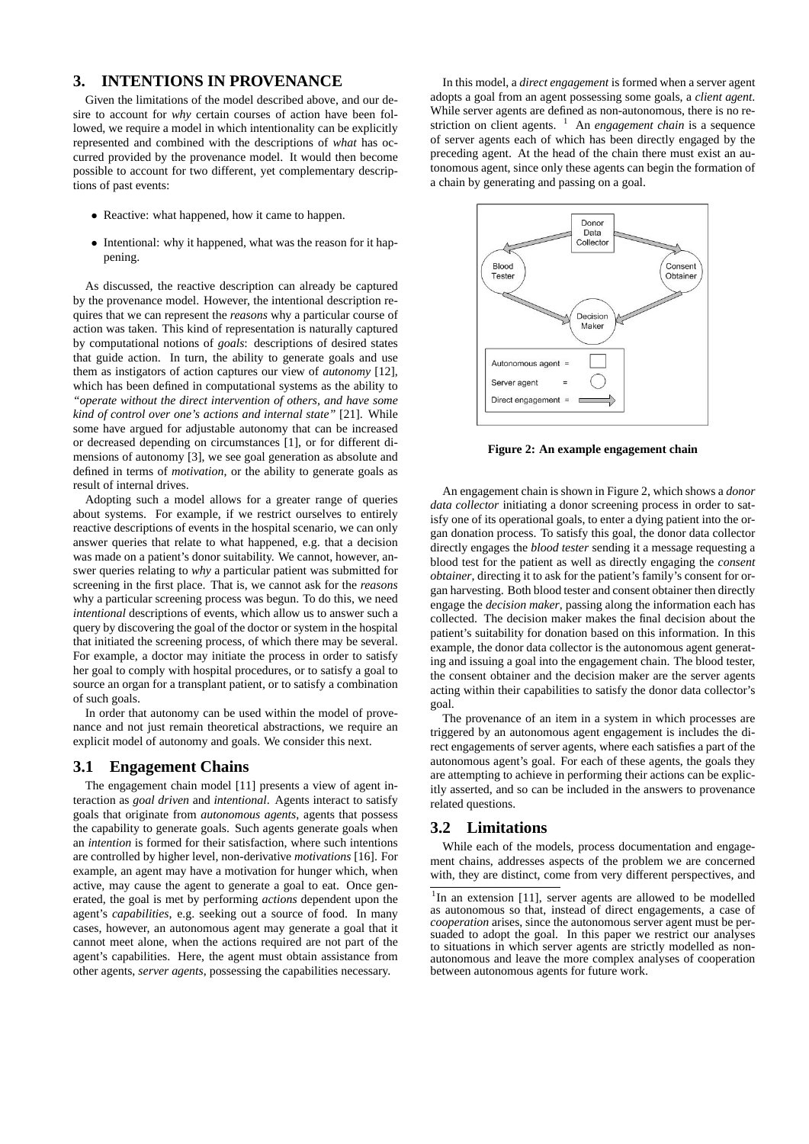# **3. INTENTIONS IN PROVENANCE**

Given the limitations of the model described above, and our desire to account for *why* certain courses of action have been followed, we require a model in which intentionality can be explicitly represented and combined with the descriptions of *what* has occurred provided by the provenance model. It would then become possible to account for two different, yet complementary descriptions of past events:

- Reactive: what happened, how it came to happen.
- Intentional: why it happened, what was the reason for it happening.

As discussed, the reactive description can already be captured by the provenance model. However, the intentional description requires that we can represent the *reasons* why a particular course of action was taken. This kind of representation is naturally captured by computational notions of *goals*: descriptions of desired states that guide action. In turn, the ability to generate goals and use them as instigators of action captures our view of *autonomy* [12], which has been defined in computational systems as the ability to *"operate without the direct intervention of others, and have some kind of control over one's actions and internal state"* [21]. While some have argued for adjustable autonomy that can be increased or decreased depending on circumstances [1], or for different dimensions of autonomy [3], we see goal generation as absolute and defined in terms of *motivation*, or the ability to generate goals as result of internal drives.

Adopting such a model allows for a greater range of queries about systems. For example, if we restrict ourselves to entirely reactive descriptions of events in the hospital scenario, we can only answer queries that relate to what happened, e.g. that a decision was made on a patient's donor suitability. We cannot, however, answer queries relating to *why* a particular patient was submitted for screening in the first place. That is, we cannot ask for the *reasons* why a particular screening process was begun. To do this, we need *intentional* descriptions of events, which allow us to answer such a query by discovering the goal of the doctor or system in the hospital that initiated the screening process, of which there may be several. For example, a doctor may initiate the process in order to satisfy her goal to comply with hospital procedures, or to satisfy a goal to source an organ for a transplant patient, or to satisfy a combination of such goals.

In order that autonomy can be used within the model of provenance and not just remain theoretical abstractions, we require an explicit model of autonomy and goals. We consider this next.

## **3.1 Engagement Chains**

The engagement chain model [11] presents a view of agent interaction as *goal driven* and *intentional*. Agents interact to satisfy goals that originate from *autonomous agents*, agents that possess the capability to generate goals. Such agents generate goals when an *intention* is formed for their satisfaction, where such intentions are controlled by higher level, non-derivative *motivations* [16]. For example, an agent may have a motivation for hunger which, when active, may cause the agent to generate a goal to eat. Once generated, the goal is met by performing *actions* dependent upon the agent's *capabilities*, e.g. seeking out a source of food. In many cases, however, an autonomous agent may generate a goal that it cannot meet alone, when the actions required are not part of the agent's capabilities. Here, the agent must obtain assistance from other agents, *server agents*, possessing the capabilities necessary.

In this model, a *direct engagement* is formed when a server agent adopts a goal from an agent possessing some goals, a *client agent*. While server agents are defined as non-autonomous, there is no restriction on client agents. <sup>1</sup> An *engagement chain* is a sequence of server agents each of which has been directly engaged by the preceding agent. At the head of the chain there must exist an autonomous agent, since only these agents can begin the formation of a chain by generating and passing on a goal.



**Figure 2: An example engagement chain**

An engagement chain is shown in Figure 2, which shows a *donor data collector* initiating a donor screening process in order to satisfy one of its operational goals, to enter a dying patient into the organ donation process. To satisfy this goal, the donor data collector directly engages the *blood tester* sending it a message requesting a blood test for the patient as well as directly engaging the *consent obtainer*, directing it to ask for the patient's family's consent for organ harvesting. Both blood tester and consent obtainer then directly engage the *decision maker*, passing along the information each has collected. The decision maker makes the final decision about the patient's suitability for donation based on this information. In this example, the donor data collector is the autonomous agent generating and issuing a goal into the engagement chain. The blood tester, the consent obtainer and the decision maker are the server agents acting within their capabilities to satisfy the donor data collector's goal.

The provenance of an item in a system in which processes are triggered by an autonomous agent engagement is includes the direct engagements of server agents, where each satisfies a part of the autonomous agent's goal. For each of these agents, the goals they are attempting to achieve in performing their actions can be explicitly asserted, and so can be included in the answers to provenance related questions.

## **3.2 Limitations**

While each of the models, process documentation and engagement chains, addresses aspects of the problem we are concerned with, they are distinct, come from very different perspectives, and

<sup>&</sup>lt;sup>1</sup>In an extension [11], server agents are allowed to be modelled as autonomous so that, instead of direct engagements, a case of *cooperation* arises, since the autonomous server agent must be persuaded to adopt the goal. In this paper we restrict our analyses to situations in which server agents are strictly modelled as nonautonomous and leave the more complex analyses of cooperation between autonomous agents for future work.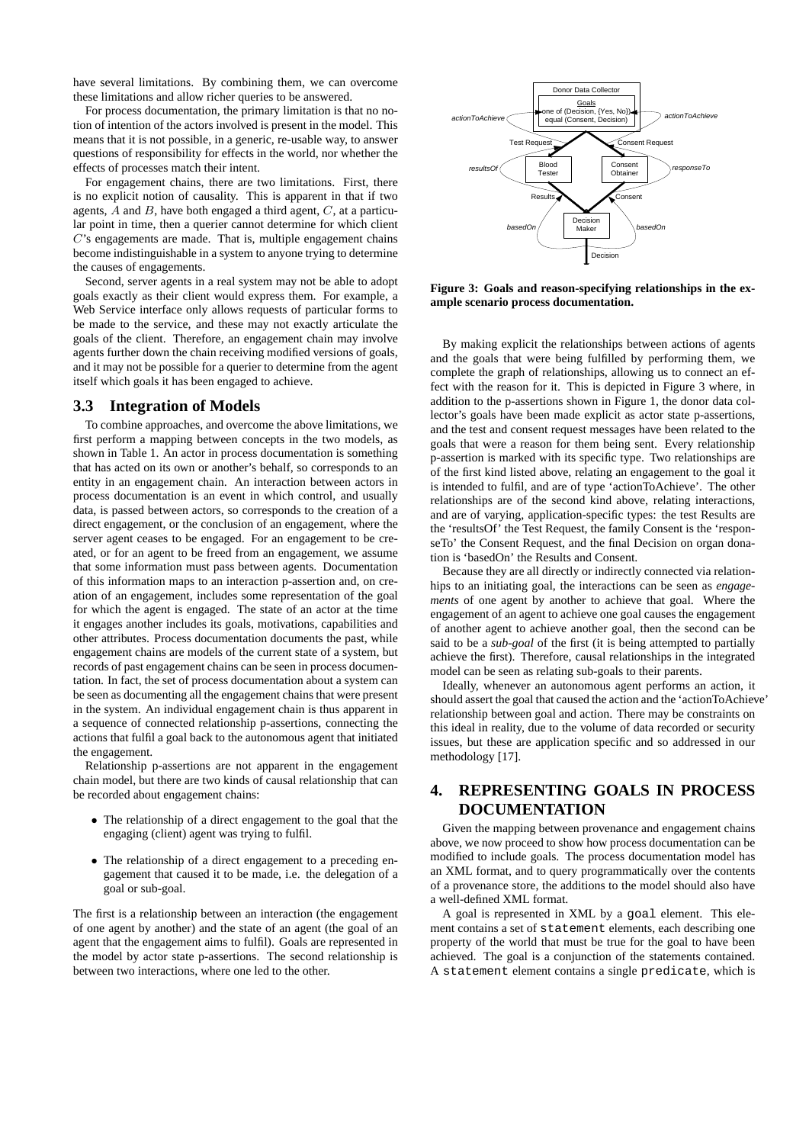have several limitations. By combining them, we can overcome these limitations and allow richer queries to be answered.

For process documentation, the primary limitation is that no notion of intention of the actors involved is present in the model. This means that it is not possible, in a generic, re-usable way, to answer questions of responsibility for effects in the world, nor whether the effects of processes match their intent.

For engagement chains, there are two limitations. First, there is no explicit notion of causality. This is apparent in that if two agents,  $A$  and  $B$ , have both engaged a third agent,  $C$ , at a particular point in time, then a querier cannot determine for which client C's engagements are made. That is, multiple engagement chains become indistinguishable in a system to anyone trying to determine the causes of engagements.

Second, server agents in a real system may not be able to adopt goals exactly as their client would express them. For example, a Web Service interface only allows requests of particular forms to be made to the service, and these may not exactly articulate the goals of the client. Therefore, an engagement chain may involve agents further down the chain receiving modified versions of goals, and it may not be possible for a querier to determine from the agent itself which goals it has been engaged to achieve.

## **3.3 Integration of Models**

To combine approaches, and overcome the above limitations, we first perform a mapping between concepts in the two models, as shown in Table 1. An actor in process documentation is something that has acted on its own or another's behalf, so corresponds to an entity in an engagement chain. An interaction between actors in process documentation is an event in which control, and usually data, is passed between actors, so corresponds to the creation of a direct engagement, or the conclusion of an engagement, where the server agent ceases to be engaged. For an engagement to be created, or for an agent to be freed from an engagement, we assume that some information must pass between agents. Documentation of this information maps to an interaction p-assertion and, on creation of an engagement, includes some representation of the goal for which the agent is engaged. The state of an actor at the time it engages another includes its goals, motivations, capabilities and other attributes. Process documentation documents the past, while engagement chains are models of the current state of a system, but records of past engagement chains can be seen in process documentation. In fact, the set of process documentation about a system can be seen as documenting all the engagement chains that were present in the system. An individual engagement chain is thus apparent in a sequence of connected relationship p-assertions, connecting the actions that fulfil a goal back to the autonomous agent that initiated the engagement.

Relationship p-assertions are not apparent in the engagement chain model, but there are two kinds of causal relationship that can be recorded about engagement chains:

- The relationship of a direct engagement to the goal that the engaging (client) agent was trying to fulfil.
- The relationship of a direct engagement to a preceding engagement that caused it to be made, i.e. the delegation of a goal or sub-goal.

The first is a relationship between an interaction (the engagement of one agent by another) and the state of an agent (the goal of an agent that the engagement aims to fulfil). Goals are represented in the model by actor state p-assertions. The second relationship is between two interactions, where one led to the other.



**Figure 3: Goals and reason-specifying relationships in the example scenario process documentation.**

By making explicit the relationships between actions of agents and the goals that were being fulfilled by performing them, we complete the graph of relationships, allowing us to connect an effect with the reason for it. This is depicted in Figure 3 where, in addition to the p-assertions shown in Figure 1, the donor data collector's goals have been made explicit as actor state p-assertions, and the test and consent request messages have been related to the goals that were a reason for them being sent. Every relationship p-assertion is marked with its specific type. Two relationships are of the first kind listed above, relating an engagement to the goal it is intended to fulfil, and are of type 'actionToAchieve'. The other relationships are of the second kind above, relating interactions, and are of varying, application-specific types: the test Results are the 'resultsOf' the Test Request, the family Consent is the 'responseTo' the Consent Request, and the final Decision on organ donation is 'basedOn' the Results and Consent.

Because they are all directly or indirectly connected via relationhips to an initiating goal, the interactions can be seen as *engagements* of one agent by another to achieve that goal. Where the engagement of an agent to achieve one goal causes the engagement of another agent to achieve another goal, then the second can be said to be a *sub-goal* of the first (it is being attempted to partially achieve the first). Therefore, causal relationships in the integrated model can be seen as relating sub-goals to their parents.

Ideally, whenever an autonomous agent performs an action, it should assert the goal that caused the action and the 'actionToAchieve' relationship between goal and action. There may be constraints on this ideal in reality, due to the volume of data recorded or security issues, but these are application specific and so addressed in our methodology [17].

# **4. REPRESENTING GOALS IN PROCESS DOCUMENTATION**

Given the mapping between provenance and engagement chains above, we now proceed to show how process documentation can be modified to include goals. The process documentation model has an XML format, and to query programmatically over the contents of a provenance store, the additions to the model should also have a well-defined XML format.

A goal is represented in XML by a goal element. This element contains a set of statement elements, each describing one property of the world that must be true for the goal to have been achieved. The goal is a conjunction of the statements contained. A statement element contains a single predicate, which is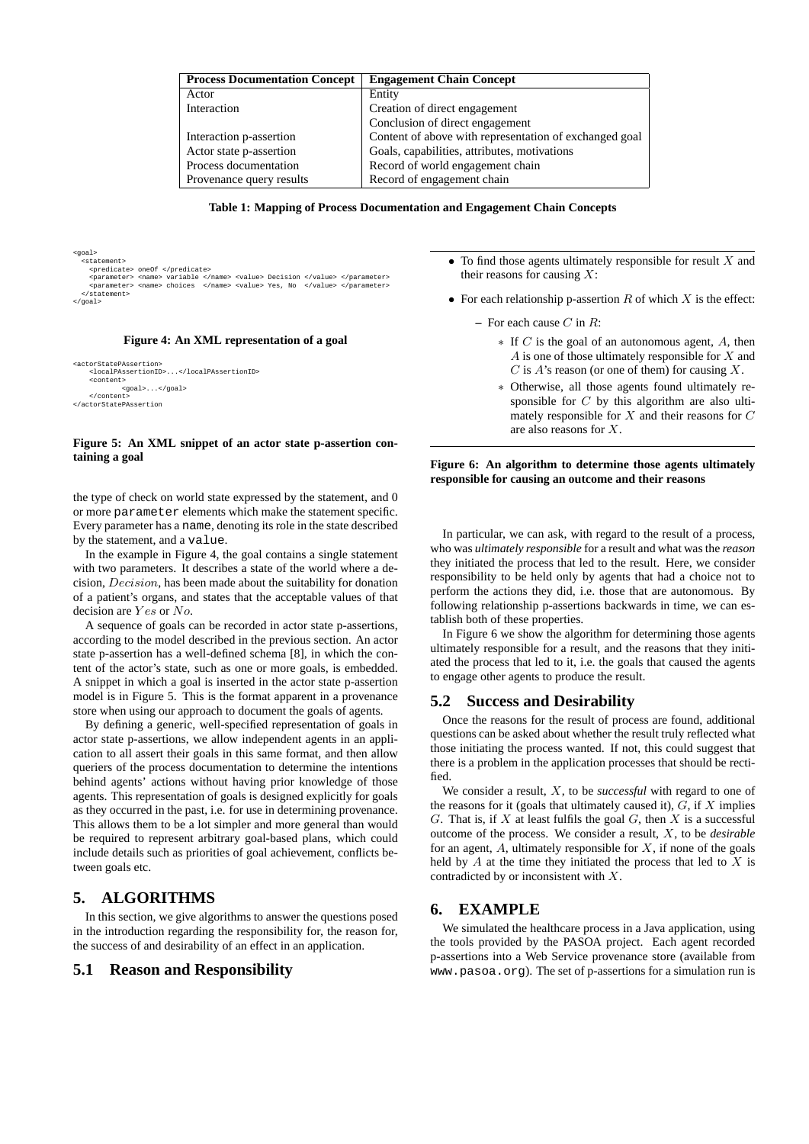| <b>Process Documentation Concept</b> | <b>Engagement Chain Concept</b>                        |
|--------------------------------------|--------------------------------------------------------|
| Actor                                | Entity                                                 |
| Interaction                          | Creation of direct engagement                          |
|                                      | Conclusion of direct engagement                        |
| Interaction p-assertion              | Content of above with representation of exchanged goal |
| Actor state p-assertion              | Goals, capabilities, attributes, motivations           |
| Process documentation                | Record of world engagement chain                       |
| Provenance query results             | Record of engagement chain                             |

**Table 1: Mapping of Process Documentation and Engagement Chain Concepts**

<goal> <statement> <predicate> oneOf </predicate><br>
<parameter> <name> variable </name> <value> Decision </value> </parameter><br>
<parameter> <name> choices </name> cvalue> Yes, No </value> </parameter><br>
</statement> </goal>

#### **Figure 4: An XML representation of a goal**

```
<actorStatePAssertion>
    <localPAssertionID>...</localPAssertionID>
    <content>
            <goal>...</goal>
    </content>
</actorStatePAssertion
```
#### **Figure 5: An XML snippet of an actor state p-assertion containing a goal**

the type of check on world state expressed by the statement, and 0 or more parameter elements which make the statement specific. Every parameter has a name, denoting its role in the state described by the statement, and a value.

In the example in Figure 4, the goal contains a single statement with two parameters. It describes a state of the world where a decision, Decision, has been made about the suitability for donation of a patient's organs, and states that the acceptable values of that decision are Yes or No.

A sequence of goals can be recorded in actor state p-assertions, according to the model described in the previous section. An actor state p-assertion has a well-defined schema [8], in which the content of the actor's state, such as one or more goals, is embedded. A snippet in which a goal is inserted in the actor state p-assertion model is in Figure 5. This is the format apparent in a provenance store when using our approach to document the goals of agents.

By defining a generic, well-specified representation of goals in actor state p-assertions, we allow independent agents in an application to all assert their goals in this same format, and then allow queriers of the process documentation to determine the intentions behind agents' actions without having prior knowledge of those agents. This representation of goals is designed explicitly for goals as they occurred in the past, i.e. for use in determining provenance. This allows them to be a lot simpler and more general than would be required to represent arbitrary goal-based plans, which could include details such as priorities of goal achievement, conflicts between goals etc.

# **5. ALGORITHMS**

In this section, we give algorithms to answer the questions posed in the introduction regarding the responsibility for, the reason for, the success of and desirability of an effect in an application.

#### **5.1 Reason and Responsibility**

- $\bullet$  To find those agents ultimately responsible for result  $X$  and their reasons for causing  $X$ :
- For each relationship p-assertion  $R$  of which  $X$  is the effect:
	- **–** For each cause C in R:
		- $*$  If C is the goal of an autonomous agent, A, then  $A$  is one of those ultimately responsible for  $X$  and  $C$  is  $A$ 's reason (or one of them) for causing  $X$ .
		- ∗ Otherwise, all those agents found ultimately responsible for  $C$  by this algorithm are also ultimately responsible for  $X$  and their reasons for  $C$ are also reasons for X.

#### **Figure 6: An algorithm to determine those agents ultimately responsible for causing an outcome and their reasons**

In particular, we can ask, with regard to the result of a process, who was *ultimately responsible* for a result and what was the *reason* they initiated the process that led to the result. Here, we consider responsibility to be held only by agents that had a choice not to perform the actions they did, i.e. those that are autonomous. By following relationship p-assertions backwards in time, we can establish both of these properties.

In Figure 6 we show the algorithm for determining those agents ultimately responsible for a result, and the reasons that they initiated the process that led to it, i.e. the goals that caused the agents to engage other agents to produce the result.

#### **5.2 Success and Desirability**

Once the reasons for the result of process are found, additional questions can be asked about whether the result truly reflected what those initiating the process wanted. If not, this could suggest that there is a problem in the application processes that should be rectified.

We consider a result, X, to be *successful* with regard to one of the reasons for it (goals that ultimately caused it),  $G$ , if  $X$  implies G. That is, if  $X$  at least fulfils the goal  $G$ , then  $X$  is a successful outcome of the process. We consider a result, X, to be *desirable* for an agent,  $A$ , ultimately responsible for  $X$ , if none of the goals held by  $A$  at the time they initiated the process that led to  $X$  is contradicted by or inconsistent with X.

#### **6. EXAMPLE**

We simulated the healthcare process in a Java application, using the tools provided by the PASOA project. Each agent recorded p-assertions into a Web Service provenance store (available from www.pasoa.org). The set of p-assertions for a simulation run is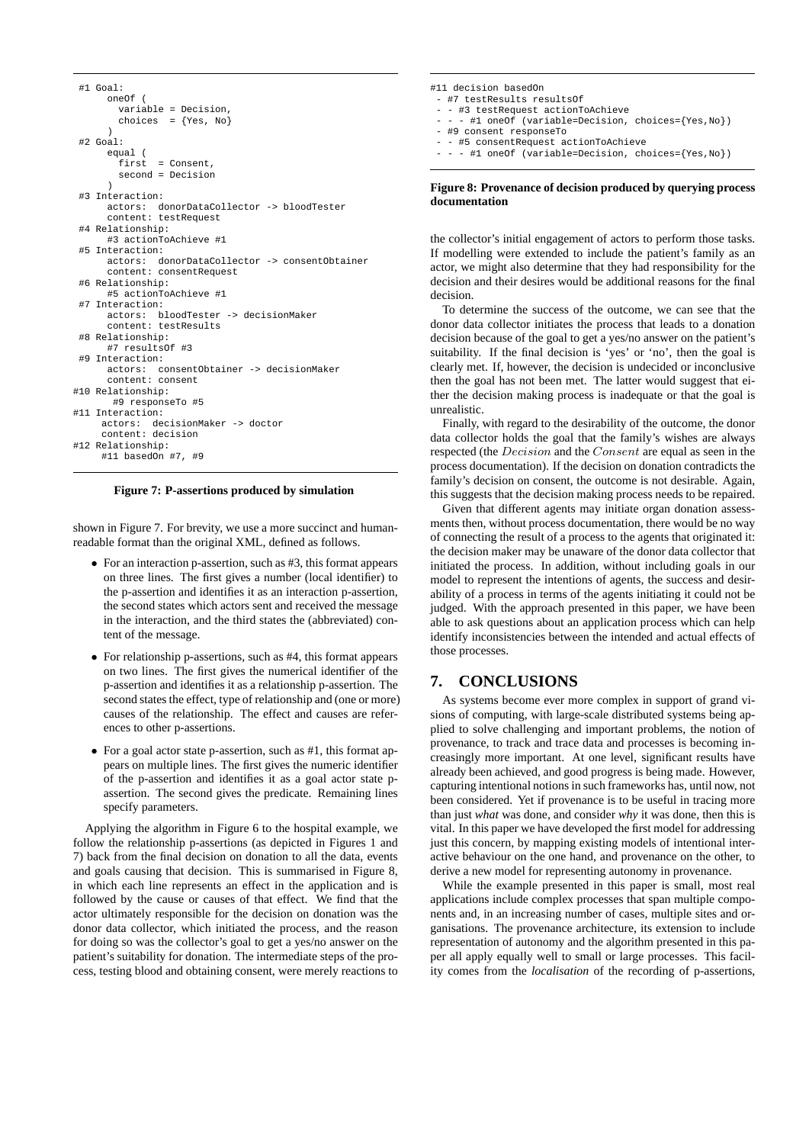```
#1 Goal:
      oneOf (
        variable = Decision,
        choices = {Yes, No}
      \lambda#2 Goal:
      equal (
              = Consent.
        second = Decision
      \lambda#3 Interaction:
      actors: donorDataCollector -> bloodTester
     content: testRequest
 #4 Relationship:
      #3 actionToAchieve #1
 #5 Interaction:
      actors: donorDataCollector -> consentObtainer
      content: consentRequest
 #6 Relationship:
      #5 actionToAchieve #1
 #7 Interaction:
      actors: bloodTester -> decisionMaker
      content: testResults
 #8 Relationship:
      #7 resultsOf #3
 #9 Interaction:
      actors: consentObtainer -> decisionMaker
      content: consent
#10 Relationship:
       #9 responseTo #5
#11 Interaction:
     actors: decisionMaker -> doctor
     content: decision
#12 Relationship:
     #11 basedOn #7, #9
```
**Figure 7: P-assertions produced by simulation**

shown in Figure 7. For brevity, we use a more succinct and humanreadable format than the original XML, defined as follows.

- For an interaction p-assertion, such as #3, this format appears on three lines. The first gives a number (local identifier) to the p-assertion and identifies it as an interaction p-assertion, the second states which actors sent and received the message in the interaction, and the third states the (abbreviated) content of the message.
- For relationship p-assertions, such as #4, this format appears on two lines. The first gives the numerical identifier of the p-assertion and identifies it as a relationship p-assertion. The second states the effect, type of relationship and (one or more) causes of the relationship. The effect and causes are references to other p-assertions.
- For a goal actor state p-assertion, such as #1, this format appears on multiple lines. The first gives the numeric identifier of the p-assertion and identifies it as a goal actor state passertion. The second gives the predicate. Remaining lines specify parameters.

Applying the algorithm in Figure 6 to the hospital example, we follow the relationship p-assertions (as depicted in Figures 1 and 7) back from the final decision on donation to all the data, events and goals causing that decision. This is summarised in Figure 8, in which each line represents an effect in the application and is followed by the cause or causes of that effect. We find that the actor ultimately responsible for the decision on donation was the donor data collector, which initiated the process, and the reason for doing so was the collector's goal to get a yes/no answer on the patient's suitability for donation. The intermediate steps of the process, testing blood and obtaining consent, were merely reactions to

| #11 decision basedOn                                 |
|------------------------------------------------------|
| - #7 testResults resultsOf                           |
| - - #3 testRequest actionToAchieve                   |
| - - - #1 oneOf (variable=Decision, choices={Yes,No}) |
| - #9 consent responseTo                              |
| - - #5 consentRequest actionToAchieve                |
| - - - #1 oneOf (variable=Decision, choices={Yes,No}) |
|                                                      |
|                                                      |

#### **Figure 8: Provenance of decision produced by querying process documentation**

the collector's initial engagement of actors to perform those tasks. If modelling were extended to include the patient's family as an actor, we might also determine that they had responsibility for the decision and their desires would be additional reasons for the final decision.

To determine the success of the outcome, we can see that the donor data collector initiates the process that leads to a donation decision because of the goal to get a yes/no answer on the patient's suitability. If the final decision is 'yes' or 'no', then the goal is clearly met. If, however, the decision is undecided or inconclusive then the goal has not been met. The latter would suggest that either the decision making process is inadequate or that the goal is unrealistic.

Finally, with regard to the desirability of the outcome, the donor data collector holds the goal that the family's wishes are always respected (the Decision and the Consent are equal as seen in the process documentation). If the decision on donation contradicts the family's decision on consent, the outcome is not desirable. Again, this suggests that the decision making process needs to be repaired.

Given that different agents may initiate organ donation assessments then, without process documentation, there would be no way of connecting the result of a process to the agents that originated it: the decision maker may be unaware of the donor data collector that initiated the process. In addition, without including goals in our model to represent the intentions of agents, the success and desirability of a process in terms of the agents initiating it could not be judged. With the approach presented in this paper, we have been able to ask questions about an application process which can help identify inconsistencies between the intended and actual effects of those processes.

# **7. CONCLUSIONS**

As systems become ever more complex in support of grand visions of computing, with large-scale distributed systems being applied to solve challenging and important problems, the notion of provenance, to track and trace data and processes is becoming increasingly more important. At one level, significant results have already been achieved, and good progress is being made. However, capturing intentional notions in such frameworks has, until now, not been considered. Yet if provenance is to be useful in tracing more than just *what* was done, and consider *why* it was done, then this is vital. In this paper we have developed the first model for addressing just this concern, by mapping existing models of intentional interactive behaviour on the one hand, and provenance on the other, to derive a new model for representing autonomy in provenance.

While the example presented in this paper is small, most real applications include complex processes that span multiple components and, in an increasing number of cases, multiple sites and organisations. The provenance architecture, its extension to include representation of autonomy and the algorithm presented in this paper all apply equally well to small or large processes. This facility comes from the *localisation* of the recording of p-assertions,